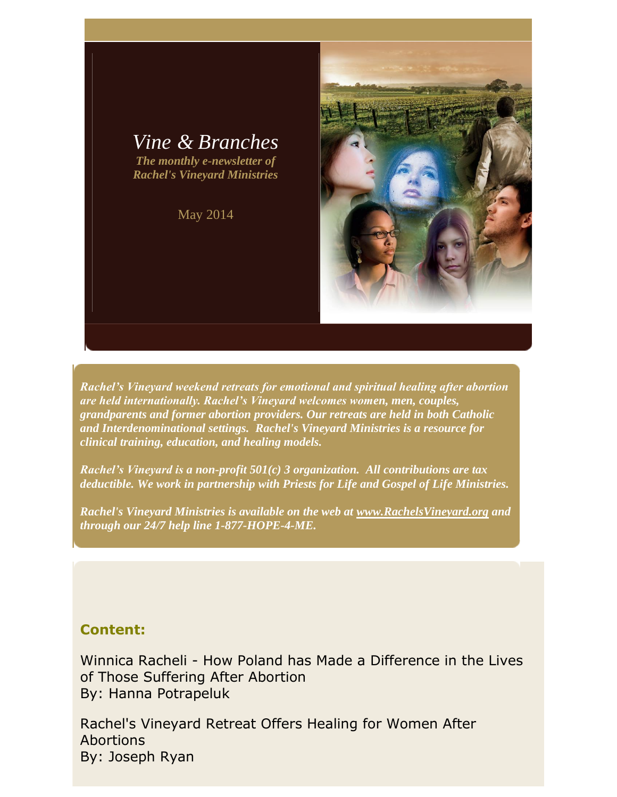

May 2014



*Rachel's Vineyard weekend retreats for emotional and spiritual healing after abortion are held internationally. Rachel's Vineyard welcomes women, men, couples, grandparents and former abortion providers. Our retreats are held in both Catholic and Interdenominational settings. Rachel's Vineyard Ministries is a resource for clinical training, education, and healing models.*

*Rachel's Vineyard is a non-profit 501(c) 3 organization. All contributions are tax deductible. We work in partnership with Priests for Life and Gospel of Life Ministries.*

*Rachel's Vineyard Ministries is available on the web at [www.RachelsVineyard.org](http://www.rachelsvineyard.org/) and through our 24/7 help line 1-877-HOPE-4-ME.*

# **Content:**

Winnica Racheli - How Poland has Made a Difference in the Lives of Those Suffering After Abortion By: Hanna Potrapeluk

Rachel's Vineyard Retreat Offers Healing for Women After **Abortions** By: Joseph Ryan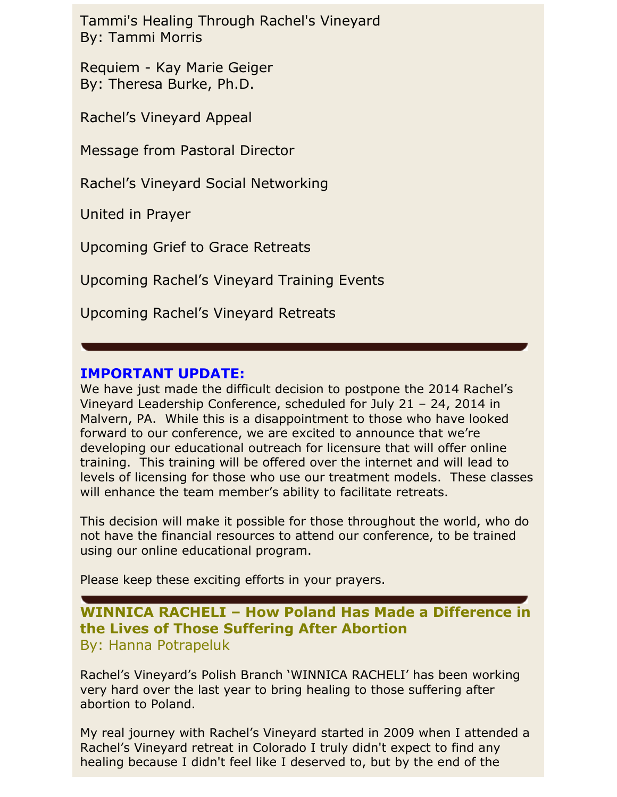Tammi's Healing Through Rachel's Vineyard By: Tammi Morris

Requiem - Kay Marie Geiger By: Theresa Burke, Ph.D.

Rachel's Vineyard Appeal

Message from Pastoral Director

Rachel's Vineyard Social Networking

United in Prayer

Upcoming Grief to Grace Retreats

Upcoming Rachel's Vineyard Training Events

Upcoming Rachel's Vineyard Retreats

# **IMPORTANT UPDATE:**

We have just made the difficult decision to postpone the 2014 Rachel's Vineyard Leadership Conference, scheduled for July 21 – 24, 2014 in Malvern, PA. While this is a disappointment to those who have looked forward to our conference, we are excited to announce that we're developing our educational outreach for licensure that will offer online training. This training will be offered over the internet and will lead to levels of licensing for those who use our treatment models. These classes will enhance the team member's ability to facilitate retreats.

This decision will make it possible for those throughout the world, who do not have the financial resources to attend our conference, to be trained using our online educational program.

Please keep these exciting efforts in your prayers.

# **WINNICA RACHELI – How Poland Has Made a Difference in the Lives of Those Suffering After Abortion** By: Hanna Potrapeluk

Rachel's Vineyard's Polish Branch 'WINNICA RACHELI' has been working very hard over the last year to bring healing to those suffering after abortion to Poland.

My real journey with Rachel's Vineyard started in 2009 when I attended a Rachel's Vineyard retreat in Colorado I truly didn't expect to find any healing because I didn't feel like I deserved to, but by the end of the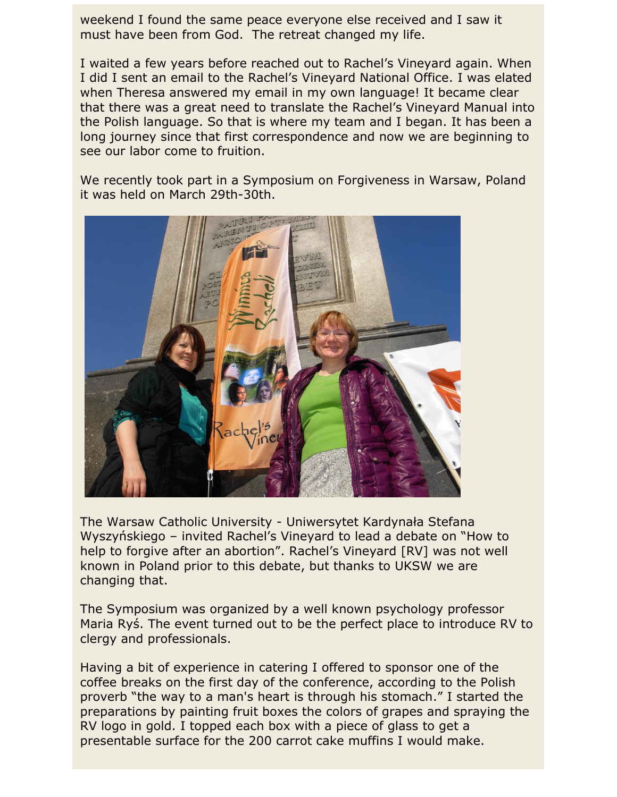weekend I found the same peace everyone else received and I saw it must have been from God. The retreat changed my life.

I waited a few years before reached out to Rachel's Vineyard again. When I did I sent an email to the Rachel's Vineyard National Office. I was elated when Theresa answered my email in my own language! It became clear that there was a great need to translate the Rachel's Vineyard Manual into the Polish language. So that is where my team and I began. It has been a long journey since that first correspondence and now we are beginning to see our labor come to fruition.

We recently took part in a Symposium on Forgiveness in Warsaw, Poland it was held on March 29th-30th.



The Warsaw Catholic University - Uniwersytet Kardynała Stefana Wyszyńskiego – invited Rachel's Vineyard to lead a debate on "How to help to forgive after an abortion". Rachel's Vineyard [RV] was not well known in Poland prior to this debate, but thanks to UKSW we are changing that.

The Symposium was organized by a well known psychology professor Maria Ryś. The event turned out to be the perfect place to introduce RV to clergy and professionals.

Having a bit of experience in catering I offered to sponsor one of the coffee breaks on the first day of the conference, according to the Polish proverb "the way to a man's heart is through his stomach." I started the preparations by painting fruit boxes the colors of grapes and spraying the RV logo in gold. I topped each box with a piece of glass to get a presentable surface for the 200 carrot cake muffins I would make.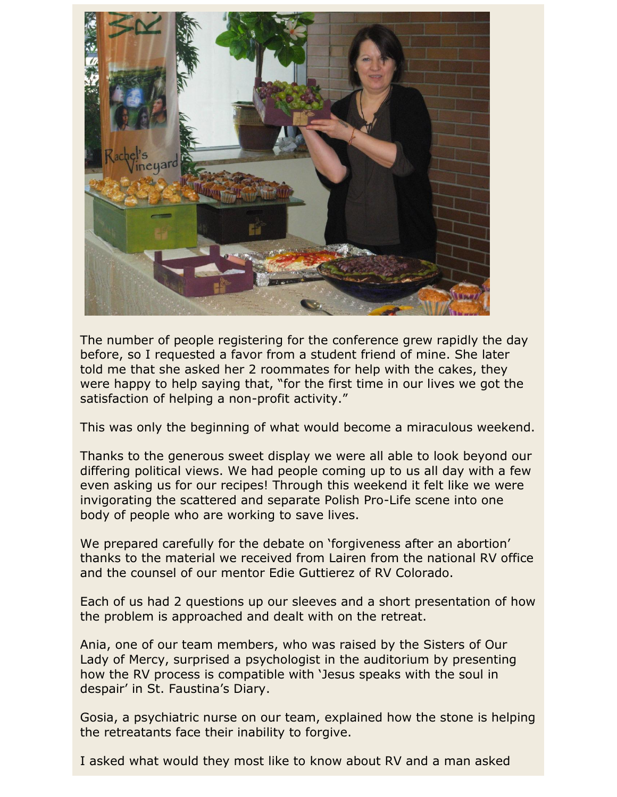

The number of people registering for the conference grew rapidly the day before, so I requested a favor from a student friend of mine. She later told me that she asked her 2 roommates for help with the cakes, they were happy to help saying that, "for the first time in our lives we got the satisfaction of helping a non-profit activity."

This was only the beginning of what would become a miraculous weekend.

Thanks to the generous sweet display we were all able to look beyond our differing political views. We had people coming up to us all day with a few even asking us for our recipes! Through this weekend it felt like we were invigorating the scattered and separate Polish Pro-Life scene into one body of people who are working to save lives.

We prepared carefully for the debate on 'forgiveness after an abortion' thanks to the material we received from Lairen from the national RV office and the counsel of our mentor Edie Guttierez of RV Colorado.

Each of us had 2 questions up our sleeves and a short presentation of how the problem is approached and dealt with on the retreat.

Ania, one of our team members, who was raised by the Sisters of Our Lady of Mercy, surprised a psychologist in the auditorium by presenting how the RV process is compatible with 'Jesus speaks with the soul in despair' in St. Faustina's Diary.

Gosia, a psychiatric nurse on our team, explained how the stone is helping the retreatants face their inability to forgive.

I asked what would they most like to know about RV and a man asked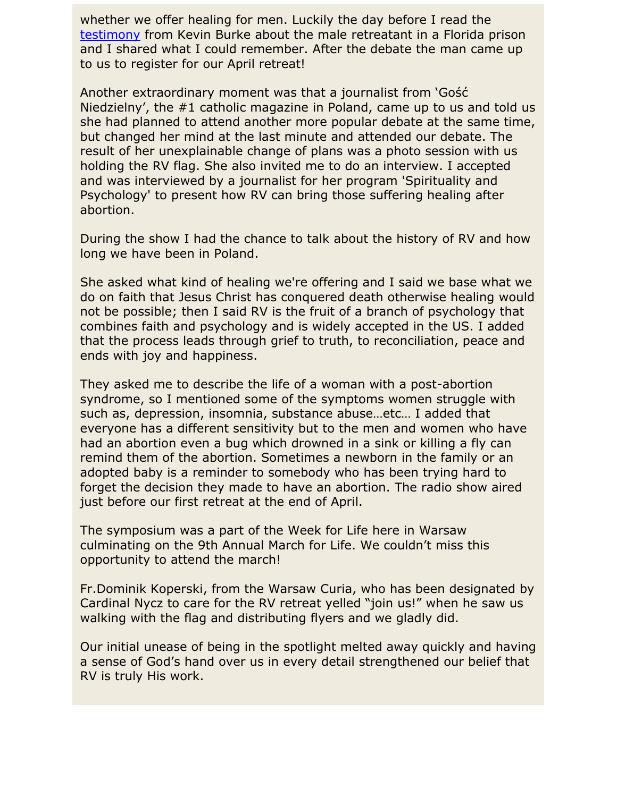whether we offer healing for men. Luckily the day before I read the [testimony](http://rachelsvineyard.org/PDF/Articles/PrisonBreak_KBurke.pdf) from Kevin Burke about the male retreatant in a Florida prison and I shared what I could remember. After the debate the man came up to us to register for our April retreat!

Another extraordinary moment was that a journalist from 'Gość Niedzielny', the #1 catholic magazine in Poland, came up to us and told us she had planned to attend another more popular debate at the same time, but changed her mind at the last minute and attended our debate. The result of her unexplainable change of plans was a photo session with us holding the RV flag. She also invited me to do an interview. I accepted and was interviewed by a journalist for her program 'Spirituality and Psychology' to present how RV can bring those suffering healing after abortion.

During the show I had the chance to talk about the history of RV and how long we have been in Poland.

She asked what kind of healing we're offering and I said we base what we do on faith that Jesus Christ has conquered death otherwise healing would not be possible; then I said RV is the fruit of a branch of psychology that combines faith and psychology and is widely accepted in the US. I added that the process leads through grief to truth, to reconciliation, peace and ends with joy and happiness.

They asked me to describe the life of a woman with a post-abortion syndrome, so I mentioned some of the symptoms women struggle with such as, depression, insomnia, substance abuse…etc… I added that everyone has a different sensitivity but to the men and women who have had an abortion even a bug which drowned in a sink or killing a fly can remind them of the abortion. Sometimes a newborn in the family or an adopted baby is a reminder to somebody who has been trying hard to forget the decision they made to have an abortion. The radio show aired just before our first retreat at the end of April.

The symposium was a part of the Week for Life here in Warsaw culminating on the 9th Annual March for Life. We couldn't miss this opportunity to attend the march!

Fr.Dominik Koperski, from the Warsaw Curia, who has been designated by Cardinal Nycz to care for the RV retreat yelled "join us!" when he saw us walking with the flag and distributing flyers and we gladly did.

Our initial unease of being in the spotlight melted away quickly and having a sense of God's hand over us in every detail strengthened our belief that RV is truly His work.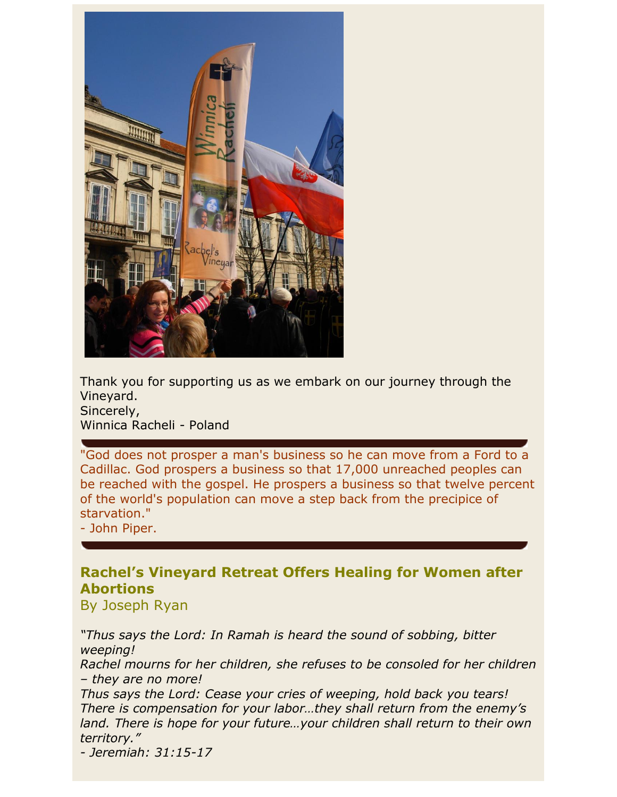

Thank you for supporting us as we embark on our journey through the Vineyard. Sincerely,

Winnica Racheli - Poland

"God does not prosper a man's business so he can move from a Ford to a Cadillac. God prospers a business so that 17,000 unreached peoples can be reached with the gospel. He prospers a business so that twelve percent of the world's population can move a step back from the precipice of starvation."

- John Piper.

# **Rachel's Vineyard Retreat Offers Healing for Women after Abortions**

By Joseph Ryan

*"Thus says the Lord: In Ramah is heard the sound of sobbing, bitter weeping!*

*Rachel mourns for her children, she refuses to be consoled for her children – they are no more!*

*Thus says the Lord: Cease your cries of weeping, hold back you tears! There is compensation for your labor…they shall return from the enemy's land. There is hope for your future…your children shall return to their own territory."*

*- Jeremiah: 31:15-17*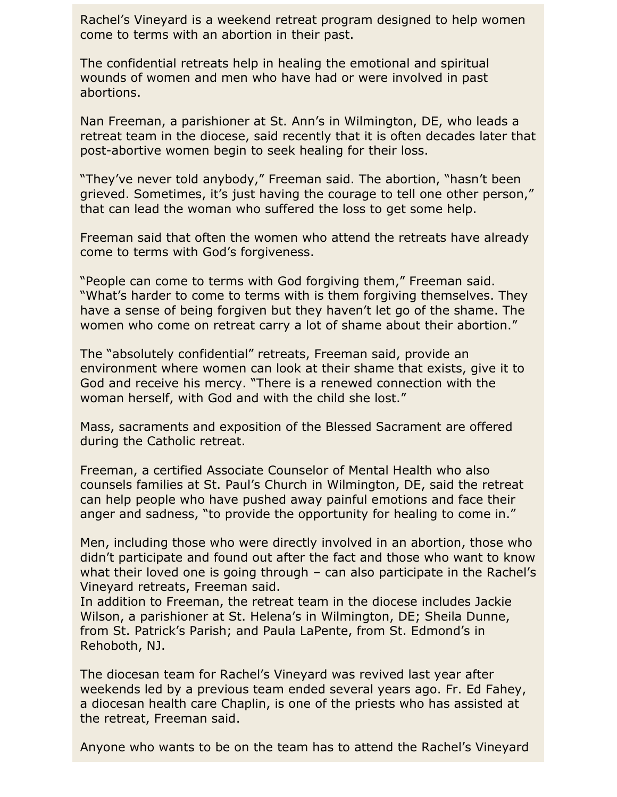Rachel's Vineyard is a weekend retreat program designed to help women come to terms with an abortion in their past.

The confidential retreats help in healing the emotional and spiritual wounds of women and men who have had or were involved in past abortions.

Nan Freeman, a parishioner at St. Ann's in Wilmington, DE, who leads a retreat team in the diocese, said recently that it is often decades later that post-abortive women begin to seek healing for their loss.

"They've never told anybody," Freeman said. The abortion, "hasn't been grieved. Sometimes, it's just having the courage to tell one other person," that can lead the woman who suffered the loss to get some help.

Freeman said that often the women who attend the retreats have already come to terms with God's forgiveness.

"People can come to terms with God forgiving them," Freeman said. "What's harder to come to terms with is them forgiving themselves. They have a sense of being forgiven but they haven't let go of the shame. The women who come on retreat carry a lot of shame about their abortion."

The "absolutely confidential" retreats, Freeman said, provide an environment where women can look at their shame that exists, give it to God and receive his mercy. "There is a renewed connection with the woman herself, with God and with the child she lost."

Mass, sacraments and exposition of the Blessed Sacrament are offered during the Catholic retreat.

Freeman, a certified Associate Counselor of Mental Health who also counsels families at St. Paul's Church in Wilmington, DE, said the retreat can help people who have pushed away painful emotions and face their anger and sadness, "to provide the opportunity for healing to come in."

Men, including those who were directly involved in an abortion, those who didn't participate and found out after the fact and those who want to know what their loved one is going through – can also participate in the Rachel's Vineyard retreats, Freeman said.

In addition to Freeman, the retreat team in the diocese includes Jackie Wilson, a parishioner at St. Helena's in Wilmington, DE; Sheila Dunne, from St. Patrick's Parish; and Paula LaPente, from St. Edmond's in Rehoboth, NJ.

The diocesan team for Rachel's Vineyard was revived last year after weekends led by a previous team ended several years ago. Fr. Ed Fahey, a diocesan health care Chaplin, is one of the priests who has assisted at the retreat, Freeman said.

Anyone who wants to be on the team has to attend the Rachel's Vineyard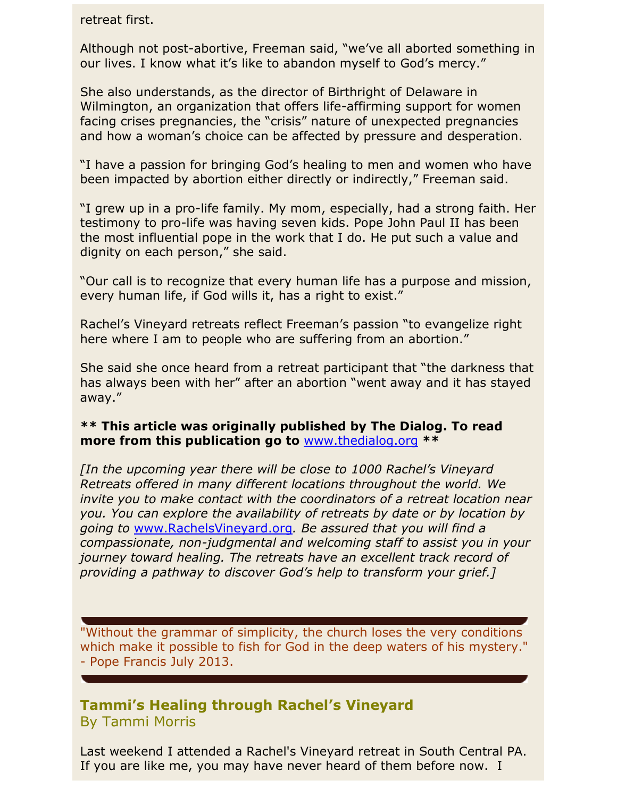retreat first.

Although not post-abortive, Freeman said, "we've all aborted something in our lives. I know what it's like to abandon myself to God's mercy."

She also understands, as the director of Birthright of Delaware in Wilmington, an organization that offers life-affirming support for women facing crises pregnancies, the "crisis" nature of unexpected pregnancies and how a woman's choice can be affected by pressure and desperation.

"I have a passion for bringing God's healing to men and women who have been impacted by abortion either directly or indirectly," Freeman said.

"I grew up in a pro-life family. My mom, especially, had a strong faith. Her testimony to pro-life was having seven kids. Pope John Paul II has been the most influential pope in the work that I do. He put such a value and dignity on each person," she said.

"Our call is to recognize that every human life has a purpose and mission, every human life, if God wills it, has a right to exist."

Rachel's Vineyard retreats reflect Freeman's passion "to evangelize right here where I am to people who are suffering from an abortion."

She said she once heard from a retreat participant that "the darkness that has always been with her" after an abortion "went away and it has stayed away."

## **\*\* This article was originally published by The Dialog. To read more from this publication go to** [www.thedialog.org](http://www.thedialog.org/) **\*\***

*[In the upcoming year there will be close to 1000 Rachel's Vineyard Retreats offered in many different locations throughout the world. We invite you to make contact with the coordinators of a retreat location near you. You can explore the availability of retreats by date or by location by going to* [www.RachelsVineyard.org](http://www.rachelsvineyard.org/)*. Be assured that you will find a compassionate, non-judgmental and welcoming staff to assist you in your journey toward healing. The retreats have an excellent track record of providing a pathway to discover God's help to transform your grief.]*

"Without the grammar of simplicity, the church loses the very conditions which make it possible to fish for God in the deep waters of his mystery." - Pope Francis July 2013.

# **Tammi's Healing through Rachel's Vineyard** By Tammi Morris

Last weekend I attended a Rachel's Vineyard retreat in South Central PA. If you are like me, you may have never heard of them before now. I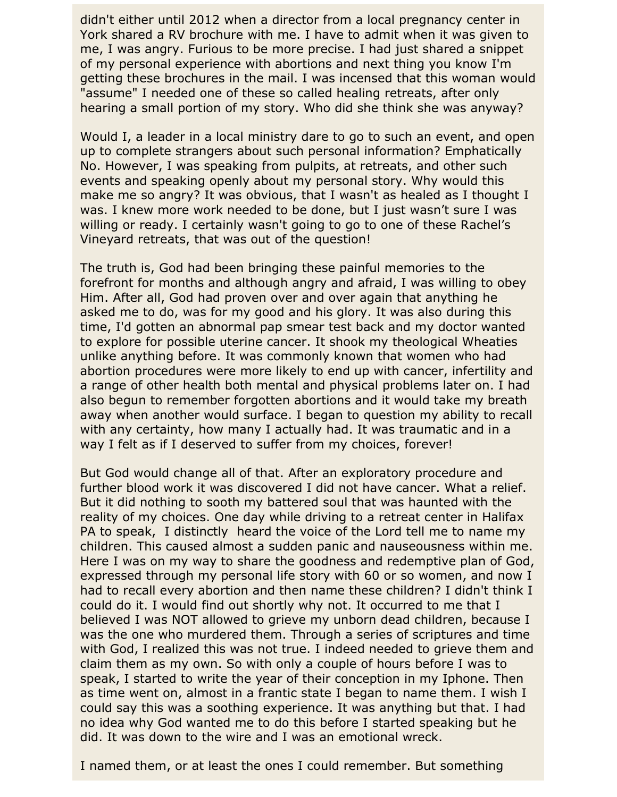didn't either until 2012 when a director from a local pregnancy center in York shared a RV brochure with me. I have to admit when it was given to me, I was angry. Furious to be more precise. I had just shared a snippet of my personal experience with abortions and next thing you know I'm getting these brochures in the mail. I was incensed that this woman would "assume" I needed one of these so called healing retreats, after only hearing a small portion of my story. Who did she think she was anyway?

Would I, a leader in a local ministry dare to go to such an event, and open up to complete strangers about such personal information? Emphatically No. However, I was speaking from pulpits, at retreats, and other such events and speaking openly about my personal story. Why would this make me so angry? It was obvious, that I wasn't as healed as I thought I was. I knew more work needed to be done, but I just wasn't sure I was willing or ready. I certainly wasn't going to go to one of these Rachel's Vineyard retreats, that was out of the question!

The truth is, God had been bringing these painful memories to the forefront for months and although angry and afraid, I was willing to obey Him. After all, God had proven over and over again that anything he asked me to do, was for my good and his glory. It was also during this time, I'd gotten an abnormal pap smear test back and my doctor wanted to explore for possible uterine cancer. It shook my theological Wheaties unlike anything before. It was commonly known that women who had abortion procedures were more likely to end up with cancer, infertility and a range of other health both mental and physical problems later on. I had also begun to remember forgotten abortions and it would take my breath away when another would surface. I began to question my ability to recall with any certainty, how many I actually had. It was traumatic and in a way I felt as if I deserved to suffer from my choices, forever!

But God would change all of that. After an exploratory procedure and further blood work it was discovered I did not have cancer. What a relief. But it did nothing to sooth my battered soul that was haunted with the reality of my choices. One day while driving to a retreat center in Halifax PA to speak, I distinctly heard the voice of the Lord tell me to name my children. This caused almost a sudden panic and nauseousness within me. Here I was on my way to share the goodness and redemptive plan of God, expressed through my personal life story with 60 or so women, and now I had to recall every abortion and then name these children? I didn't think I could do it. I would find out shortly why not. It occurred to me that I believed I was NOT allowed to grieve my unborn dead children, because I was the one who murdered them. Through a series of scriptures and time with God, I realized this was not true. I indeed needed to grieve them and claim them as my own. So with only a couple of hours before I was to speak, I started to write the year of their conception in my Iphone. Then as time went on, almost in a frantic state I began to name them. I wish I could say this was a soothing experience. It was anything but that. I had no idea why God wanted me to do this before I started speaking but he did. It was down to the wire and I was an emotional wreck.

I named them, or at least the ones I could remember. But something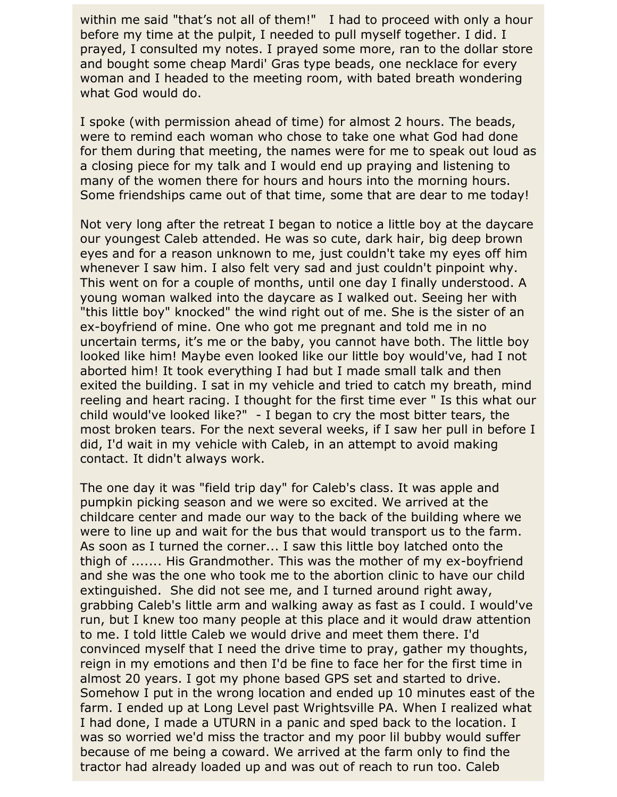within me said "that's not all of them!" I had to proceed with only a hour before my time at the pulpit, I needed to pull myself together. I did. I prayed, I consulted my notes. I prayed some more, ran to the dollar store and bought some cheap Mardi' Gras type beads, one necklace for every woman and I headed to the meeting room, with bated breath wondering what God would do.

I spoke (with permission ahead of time) for almost 2 hours. The beads, were to remind each woman who chose to take one what God had done for them during that meeting, the names were for me to speak out loud as a closing piece for my talk and I would end up praying and listening to many of the women there for hours and hours into the morning hours. Some friendships came out of that time, some that are dear to me today!

Not very long after the retreat I began to notice a little boy at the daycare our youngest Caleb attended. He was so cute, dark hair, big deep brown eyes and for a reason unknown to me, just couldn't take my eyes off him whenever I saw him. I also felt very sad and just couldn't pinpoint why. This went on for a couple of months, until one day I finally understood. A young woman walked into the daycare as I walked out. Seeing her with "this little boy" knocked" the wind right out of me. She is the sister of an ex-boyfriend of mine. One who got me pregnant and told me in no uncertain terms, it's me or the baby, you cannot have both. The little boy looked like him! Maybe even looked like our little boy would've, had I not aborted him! It took everything I had but I made small talk and then exited the building. I sat in my vehicle and tried to catch my breath, mind reeling and heart racing. I thought for the first time ever " Is this what our child would've looked like?" - I began to cry the most bitter tears, the most broken tears. For the next several weeks, if I saw her pull in before I did, I'd wait in my vehicle with Caleb, in an attempt to avoid making contact. It didn't always work.

The one day it was "field trip day" for Caleb's class. It was apple and pumpkin picking season and we were so excited. We arrived at the childcare center and made our way to the back of the building where we were to line up and wait for the bus that would transport us to the farm. As soon as I turned the corner... I saw this little boy latched onto the thigh of ....... His Grandmother. This was the mother of my ex-boyfriend and she was the one who took me to the abortion clinic to have our child extinguished. She did not see me, and I turned around right away, grabbing Caleb's little arm and walking away as fast as I could. I would've run, but I knew too many people at this place and it would draw attention to me. I told little Caleb we would drive and meet them there. I'd convinced myself that I need the drive time to pray, gather my thoughts, reign in my emotions and then I'd be fine to face her for the first time in almost 20 years. I got my phone based GPS set and started to drive. Somehow I put in the wrong location and ended up 10 minutes east of the farm. I ended up at Long Level past Wrightsville PA. When I realized what I had done, I made a UTURN in a panic and sped back to the location. I was so worried we'd miss the tractor and my poor lil bubby would suffer because of me being a coward. We arrived at the farm only to find the tractor had already loaded up and was out of reach to run too. Caleb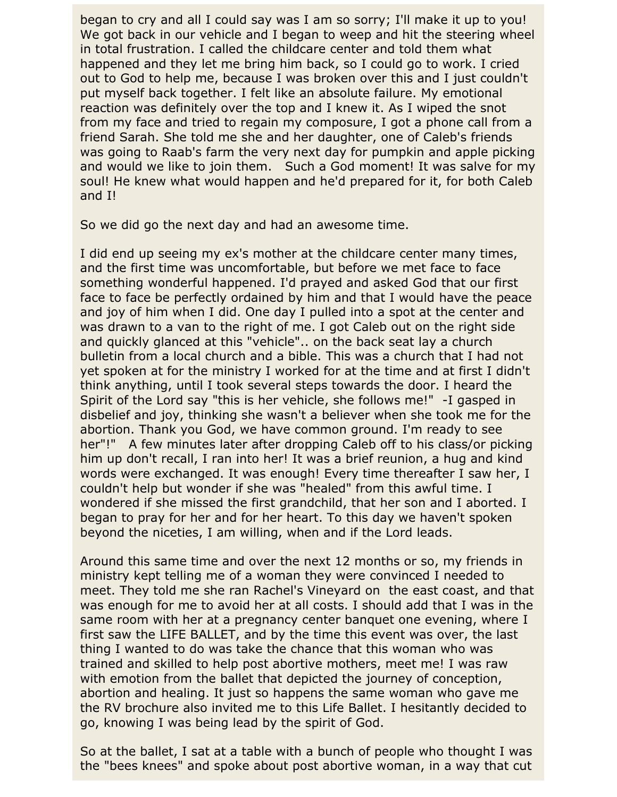began to cry and all I could say was I am so sorry; I'll make it up to you! We got back in our vehicle and I began to weep and hit the steering wheel in total frustration. I called the childcare center and told them what happened and they let me bring him back, so I could go to work. I cried out to God to help me, because I was broken over this and I just couldn't put myself back together. I felt like an absolute failure. My emotional reaction was definitely over the top and I knew it. As I wiped the snot from my face and tried to regain my composure, I got a phone call from a friend Sarah. She told me she and her daughter, one of Caleb's friends was going to Raab's farm the very next day for pumpkin and apple picking and would we like to join them. Such a God moment! It was salve for my soul! He knew what would happen and he'd prepared for it, for both Caleb and I!

So we did go the next day and had an awesome time.

I did end up seeing my ex's mother at the childcare center many times, and the first time was uncomfortable, but before we met face to face something wonderful happened. I'd prayed and asked God that our first face to face be perfectly ordained by him and that I would have the peace and joy of him when I did. One day I pulled into a spot at the center and was drawn to a van to the right of me. I got Caleb out on the right side and quickly glanced at this "vehicle".. on the back seat lay a church bulletin from a local church and a bible. This was a church that I had not yet spoken at for the ministry I worked for at the time and at first I didn't think anything, until I took several steps towards the door. I heard the Spirit of the Lord say "this is her vehicle, she follows me!" -I gasped in disbelief and joy, thinking she wasn't a believer when she took me for the abortion. Thank you God, we have common ground. I'm ready to see her"!" A few minutes later after dropping Caleb off to his class/or picking him up don't recall, I ran into her! It was a brief reunion, a hug and kind words were exchanged. It was enough! Every time thereafter I saw her, I couldn't help but wonder if she was "healed" from this awful time. I wondered if she missed the first grandchild, that her son and I aborted. I began to pray for her and for her heart. To this day we haven't spoken beyond the niceties, I am willing, when and if the Lord leads.

Around this same time and over the next 12 months or so, my friends in ministry kept telling me of a woman they were convinced I needed to meet. They told me she ran Rachel's Vineyard on the east coast, and that was enough for me to avoid her at all costs. I should add that I was in the same room with her at a pregnancy center banquet one evening, where I first saw the LIFE BALLET, and by the time this event was over, the last thing I wanted to do was take the chance that this woman who was trained and skilled to help post abortive mothers, meet me! I was raw with emotion from the ballet that depicted the journey of conception, abortion and healing. It just so happens the same woman who gave me the RV brochure also invited me to this Life Ballet. I hesitantly decided to go, knowing I was being lead by the spirit of God.

So at the ballet, I sat at a table with a bunch of people who thought I was the "bees knees" and spoke about post abortive woman, in a way that cut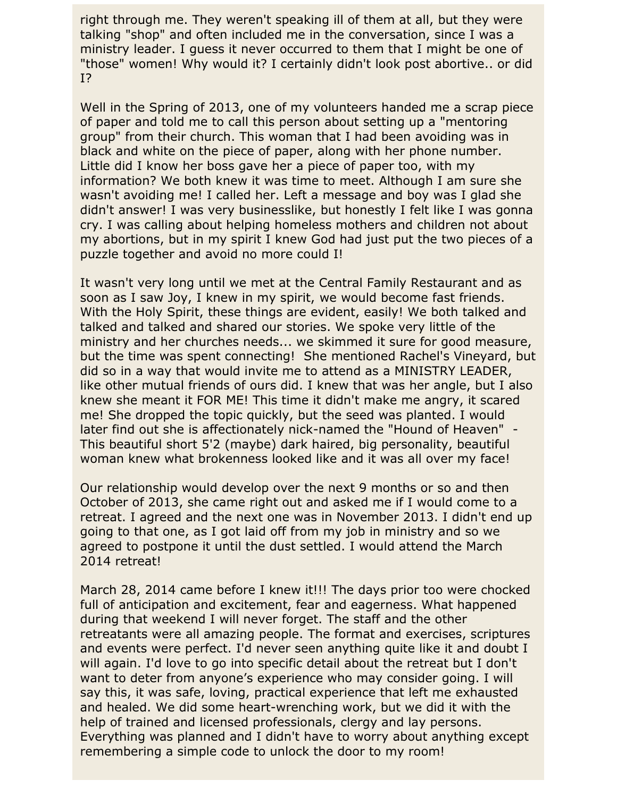right through me. They weren't speaking ill of them at all, but they were talking "shop" and often included me in the conversation, since I was a ministry leader. I guess it never occurred to them that I might be one of "those" women! Why would it? I certainly didn't look post abortive.. or did I?

Well in the Spring of 2013, one of my volunteers handed me a scrap piece of paper and told me to call this person about setting up a "mentoring group" from their church. This woman that I had been avoiding was in black and white on the piece of paper, along with her phone number. Little did I know her boss gave her a piece of paper too, with my information? We both knew it was time to meet. Although I am sure she wasn't avoiding me! I called her. Left a message and boy was I glad she didn't answer! I was very businesslike, but honestly I felt like I was gonna cry. I was calling about helping homeless mothers and children not about my abortions, but in my spirit I knew God had just put the two pieces of a puzzle together and avoid no more could I!

It wasn't very long until we met at the Central Family Restaurant and as soon as I saw Joy, I knew in my spirit, we would become fast friends. With the Holy Spirit, these things are evident, easily! We both talked and talked and talked and shared our stories. We spoke very little of the ministry and her churches needs... we skimmed it sure for good measure, but the time was spent connecting! She mentioned Rachel's Vineyard, but did so in a way that would invite me to attend as a MINISTRY LEADER, like other mutual friends of ours did. I knew that was her angle, but I also knew she meant it FOR ME! This time it didn't make me angry, it scared me! She dropped the topic quickly, but the seed was planted. I would later find out she is affectionately nick-named the "Hound of Heaven" - This beautiful short 5'2 (maybe) dark haired, big personality, beautiful woman knew what brokenness looked like and it was all over my face!

Our relationship would develop over the next 9 months or so and then October of 2013, she came right out and asked me if I would come to a retreat. I agreed and the next one was in November 2013. I didn't end up going to that one, as I got laid off from my job in ministry and so we agreed to postpone it until the dust settled. I would attend the March 2014 retreat!

March 28, 2014 came before I knew it!!! The days prior too were chocked full of anticipation and excitement, fear and eagerness. What happened during that weekend I will never forget. The staff and the other retreatants were all amazing people. The format and exercises, scriptures and events were perfect. I'd never seen anything quite like it and doubt I will again. I'd love to go into specific detail about the retreat but I don't want to deter from anyone's experience who may consider going. I will say this, it was safe, loving, practical experience that left me exhausted and healed. We did some heart-wrenching work, but we did it with the help of trained and licensed professionals, clergy and lay persons. Everything was planned and I didn't have to worry about anything except remembering a simple code to unlock the door to my room!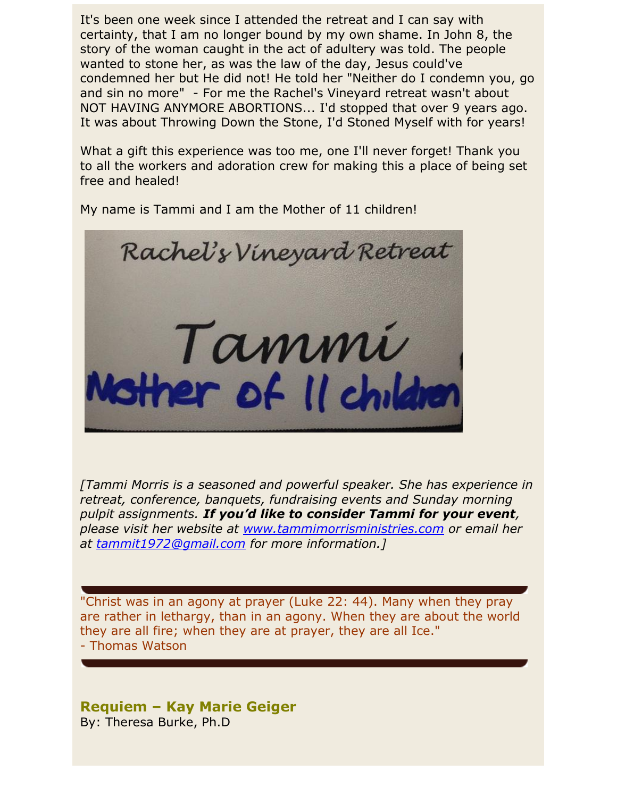It's been one week since I attended the retreat and I can say with certainty, that I am no longer bound by my own shame. In John 8, the story of the woman caught in the act of adultery was told. The people wanted to stone her, as was the law of the day, Jesus could've condemned her but He did not! He told her "Neither do I condemn you, go and sin no more" - For me the Rachel's Vineyard retreat wasn't about NOT HAVING ANYMORE ABORTIONS... I'd stopped that over 9 years ago. It was about Throwing Down the Stone, I'd Stoned Myself with for years!

What a gift this experience was too me, one I'll never forget! Thank you to all the workers and adoration crew for making this a place of being set free and healed!

My name is Tammi and I am the Mother of 11 children!



*[Tammi Morris is a seasoned and powerful speaker. She has experience in retreat, conference, banquets, fundraising events and Sunday morning pulpit assignments. If you'd like to consider Tammi for your event, please visit her website at [www.tammimorrisministries.com](http://www.tammimorrisministries.com/) or email her at [tammit1972@gmail.com](mailto:tammit1972@gmail.com) for more information.]*

"Christ was in an agony at prayer (Luke 22: 44). Many when they pray are rather in lethargy, than in an agony. When they are about the world they are all fire; when they are at prayer, they are all Ice." - Thomas Watson

## **Requiem – Kay Marie Geiger** By: Theresa Burke, Ph.D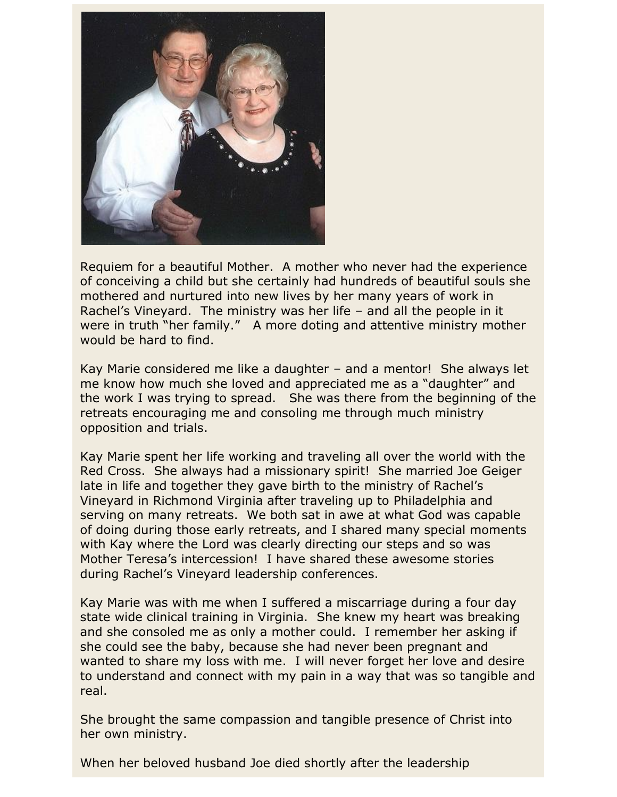

Requiem for a beautiful Mother. A mother who never had the experience of conceiving a child but she certainly had hundreds of beautiful souls she mothered and nurtured into new lives by her many years of work in Rachel's Vineyard. The ministry was her life – and all the people in it were in truth "her family." A more doting and attentive ministry mother would be hard to find.

Kay Marie considered me like a daughter – and a mentor! She always let me know how much she loved and appreciated me as a "daughter" and the work I was trying to spread. She was there from the beginning of the retreats encouraging me and consoling me through much ministry opposition and trials.

Kay Marie spent her life working and traveling all over the world with the Red Cross. She always had a missionary spirit! She married Joe Geiger late in life and together they gave birth to the ministry of Rachel's Vineyard in Richmond Virginia after traveling up to Philadelphia and serving on many retreats. We both sat in awe at what God was capable of doing during those early retreats, and I shared many special moments with Kay where the Lord was clearly directing our steps and so was Mother Teresa's intercession! I have shared these awesome stories during Rachel's Vineyard leadership conferences.

Kay Marie was with me when I suffered a miscarriage during a four day state wide clinical training in Virginia. She knew my heart was breaking and she consoled me as only a mother could. I remember her asking if she could see the baby, because she had never been pregnant and wanted to share my loss with me. I will never forget her love and desire to understand and connect with my pain in a way that was so tangible and real.

She brought the same compassion and tangible presence of Christ into her own ministry.

When her beloved husband Joe died shortly after the leadership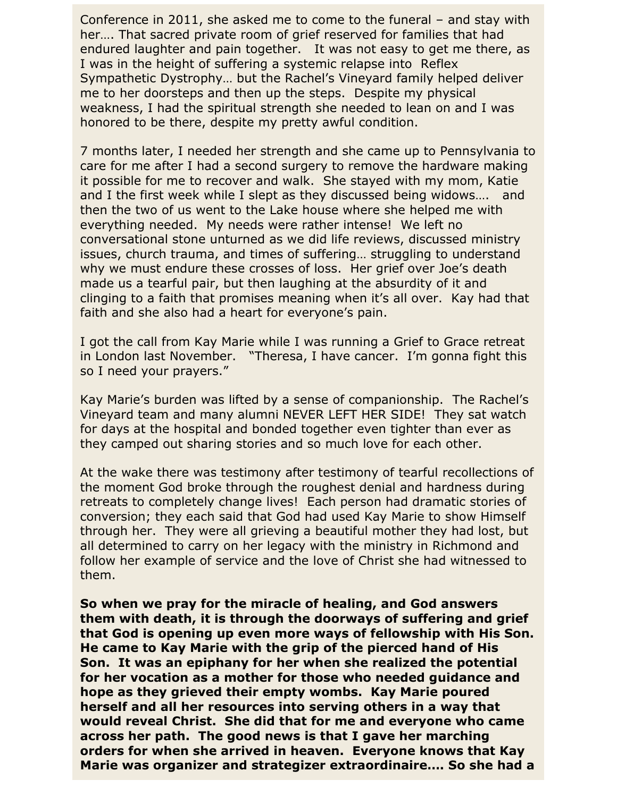Conference in 2011, she asked me to come to the funeral – and stay with her…. That sacred private room of grief reserved for families that had endured laughter and pain together. It was not easy to get me there, as I was in the height of suffering a systemic relapse into Reflex Sympathetic Dystrophy… but the Rachel's Vineyard family helped deliver me to her doorsteps and then up the steps. Despite my physical weakness, I had the spiritual strength she needed to lean on and I was honored to be there, despite my pretty awful condition.

7 months later, I needed her strength and she came up to Pennsylvania to care for me after I had a second surgery to remove the hardware making it possible for me to recover and walk. She stayed with my mom, Katie and I the first week while I slept as they discussed being widows…. and then the two of us went to the Lake house where she helped me with everything needed. My needs were rather intense! We left no conversational stone unturned as we did life reviews, discussed ministry issues, church trauma, and times of suffering… struggling to understand why we must endure these crosses of loss. Her grief over Joe's death made us a tearful pair, but then laughing at the absurdity of it and clinging to a faith that promises meaning when it's all over. Kay had that faith and she also had a heart for everyone's pain.

I got the call from Kay Marie while I was running a Grief to Grace retreat in London last November. "Theresa, I have cancer. I'm gonna fight this so I need your prayers."

Kay Marie's burden was lifted by a sense of companionship. The Rachel's Vineyard team and many alumni NEVER LEFT HER SIDE! They sat watch for days at the hospital and bonded together even tighter than ever as they camped out sharing stories and so much love for each other.

At the wake there was testimony after testimony of tearful recollections of the moment God broke through the roughest denial and hardness during retreats to completely change lives! Each person had dramatic stories of conversion; they each said that God had used Kay Marie to show Himself through her. They were all grieving a beautiful mother they had lost, but all determined to carry on her legacy with the ministry in Richmond and follow her example of service and the love of Christ she had witnessed to them.

**So when we pray for the miracle of healing, and God answers them with death, it is through the doorways of suffering and grief that God is opening up even more ways of fellowship with His Son. He came to Kay Marie with the grip of the pierced hand of His Son. It was an epiphany for her when she realized the potential for her vocation as a mother for those who needed guidance and hope as they grieved their empty wombs. Kay Marie poured herself and all her resources into serving others in a way that would reveal Christ. She did that for me and everyone who came across her path. The good news is that I gave her marching orders for when she arrived in heaven. Everyone knows that Kay Marie was organizer and strategizer extraordinaire…. So she had a**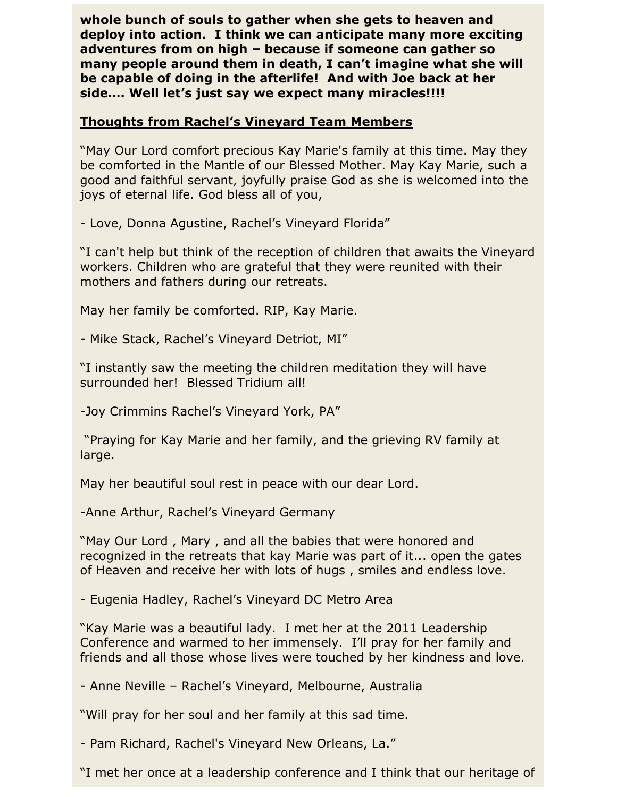**whole bunch of souls to gather when she gets to heaven and deploy into action. I think we can anticipate many more exciting adventures from on high – because if someone can gather so many people around them in death, I can't imagine what she will be capable of doing in the afterlife! And with Joe back at her side…. Well let's just say we expect many miracles!!!!** 

### **Thoughts from Rachel's Vineyard Team Members**

"May Our Lord comfort precious Kay Marie's family at this time. May they be comforted in the Mantle of our Blessed Mother. May Kay Marie, such a good and faithful servant, joyfully praise God as she is welcomed into the joys of eternal life. God bless all of you,

- Love, Donna Agustine, Rachel's Vineyard Florida"

"I can't help but think of the reception of children that awaits the Vineyard workers. Children who are grateful that they were reunited with their mothers and fathers during our retreats.

May her family be comforted. RIP, Kay Marie.

- Mike Stack, Rachel's Vineyard Detriot, MI"

"I instantly saw the meeting the children meditation they will have surrounded her! Blessed Tridium all!

-Joy Crimmins Rachel's Vineyard York, PA"

"Praying for Kay Marie and her family, and the grieving RV family at large.

May her beautiful soul rest in peace with our dear Lord.

-Anne Arthur, Rachel's Vineyard Germany

"May Our Lord , Mary , and all the babies that were honored and recognized in the retreats that kay Marie was part of it... open the gates of Heaven and receive her with lots of hugs , smiles and endless love.

- Eugenia Hadley, Rachel's Vineyard DC Metro Area

"Kay Marie was a beautiful lady. I met her at the 2011 Leadership Conference and warmed to her immensely. I'll pray for her family and friends and all those whose lives were touched by her kindness and love.

- Anne Neville – Rachel's Vineyard, Melbourne, Australia

"Will pray for her soul and her family at this sad time.

- Pam Richard, Rachel's Vineyard New Orleans, La."

"I met her once at a leadership conference and I think that our heritage of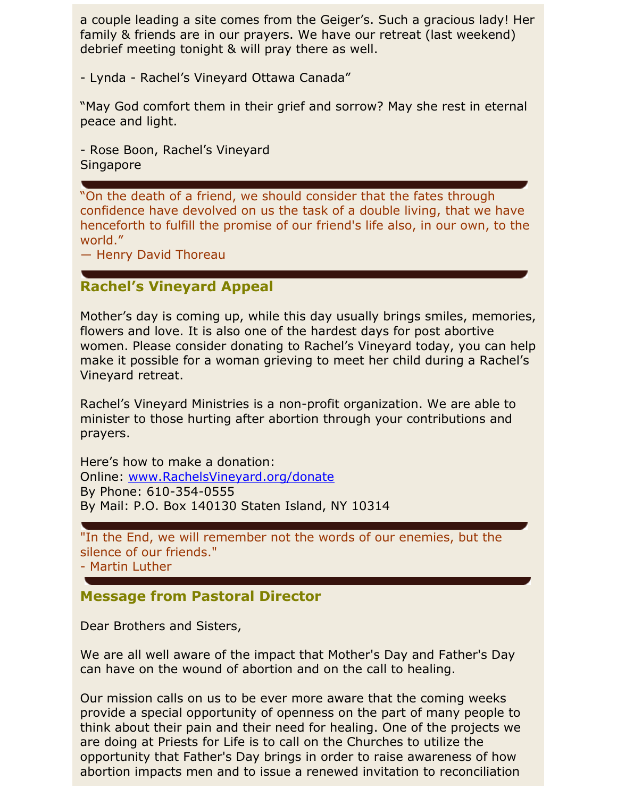a couple leading a site comes from the Geiger's. Such a gracious lady! Her family & friends are in our prayers. We have our retreat (last weekend) debrief meeting tonight & will pray there as well.

- Lynda - Rachel's Vineyard Ottawa Canada"

"May God comfort them in their grief and sorrow? May she rest in eternal peace and light.

- Rose Boon, Rachel's Vineyard **Singapore** 

"On the death of a friend, we should consider that the fates through confidence have devolved on us the task of a double living, that we have henceforth to fulfill the promise of our friend's life also, in our own, to the world."

― Henry David Thoreau

# **Rachel's Vineyard Appeal**

Mother's day is coming up, while this day usually brings smiles, memories, flowers and love. It is also one of the hardest days for post abortive women. Please consider donating to Rachel's Vineyard today, you can help make it possible for a woman grieving to meet her child during a Rachel's Vineyard retreat.

Rachel's Vineyard Ministries is a non-profit organization. We are able to minister to those hurting after abortion through your contributions and prayers.

Here's how to make a donation: Online: [www.RachelsVineyard.org/donate](http://www.rachelsvineyard.org/donate) By Phone: 610-354-0555 By Mail: P.O. Box 140130 Staten Island, NY 10314

"In the End, we will remember not the words of our enemies, but the silence of our friends."

- Martin Luther

# **Message from Pastoral Director**

Dear Brothers and Sisters,

We are all well aware of the impact that Mother's Day and Father's Day can have on the wound of abortion and on the call to healing.

Our mission calls on us to be ever more aware that the coming weeks provide a special opportunity of openness on the part of many people to think about their pain and their need for healing. One of the projects we are doing at Priests for Life is to call on the Churches to utilize the opportunity that Father's Day brings in order to raise awareness of how abortion impacts men and to issue a renewed invitation to reconciliation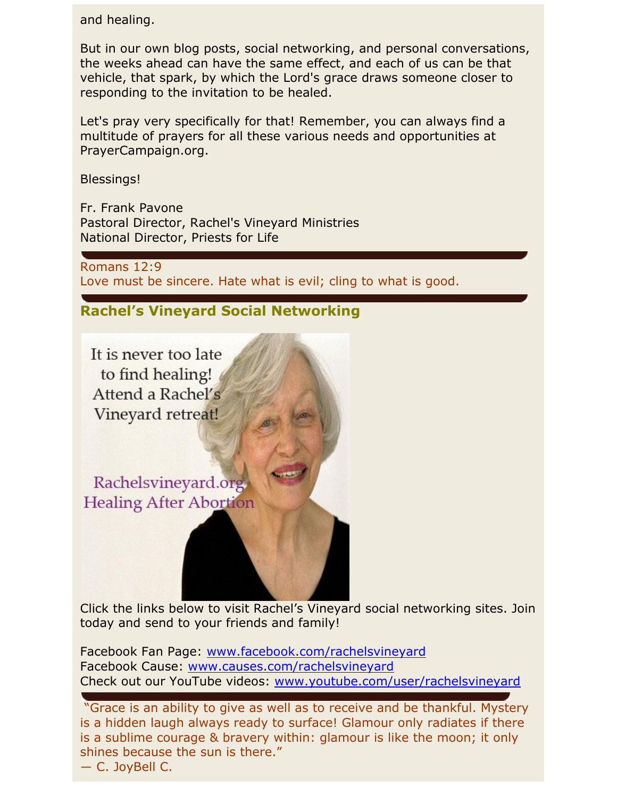and healing.

But in our own blog posts, social networking, and personal conversations, the weeks ahead can have the same effect, and each of us can be that vehicle, that spark, by which the Lord's grace draws someone closer to responding to the invitation to be healed.

Let's pray very specifically for that! Remember, you can always find a multitude of prayers for all these various needs and opportunities at PrayerCampaign.org.

Blessings!

Fr. Frank Pavone Pastoral Director, Rachel's Vineyard Ministries National Director, Priests for Life

Romans 12:9 Love must be sincere. Hate what is evil; cling to what is good.

# **Rachel's Vineyard Social Networking**

It is never too late to find healing! Attend a Rachel's Vineyard retreat!

Rachelsvineyard.org **Healing After Abortion** 

Click the links below to visit Rachel's Vineyard social networking sites. Join today and send to your friends and family!

Facebook Fan Page: [www.facebook.com/rachelsvineyard](http://www.facebook.com/rachelsvineyard)  Facebook Cause: [www.causes.com/rachelsvineyard](http://www.causes.com/rachelsvineyard) Check out our YouTube videos: [www.youtube.com/user/rachelsvineyard](http://www.youtube.com/user/rachelsvineyard)

"Grace is an ability to give as well as to receive and be thankful. Mystery is a hidden laugh always ready to surface! Glamour only radiates if there is a sublime courage & bravery within: glamour is like the moon; it only shines because the sun is there."

― C. JoyBell C.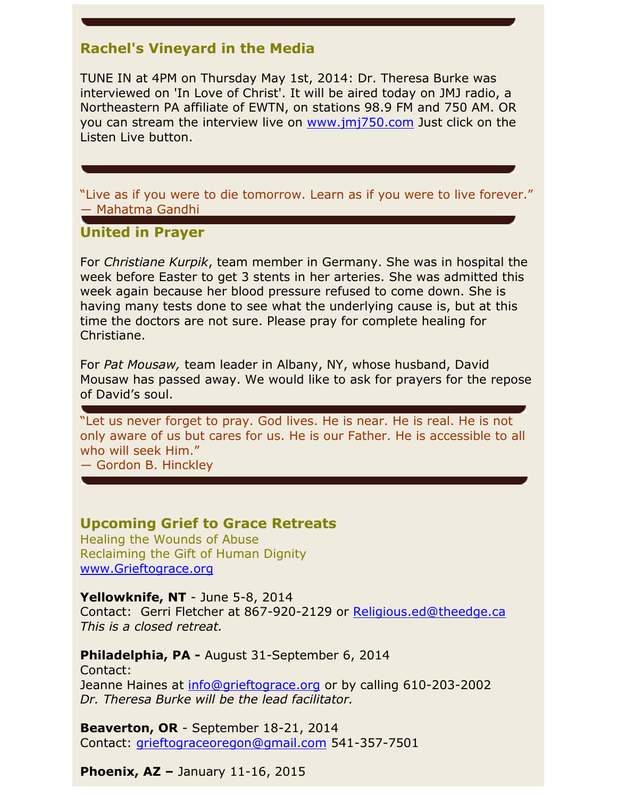# **Rachel's Vineyard in the Media**

TUNE IN at 4PM on Thursday May 1st, 2014: Dr. Theresa Burke was interviewed on 'In Love of Christ'. It will be aired today on JMJ radio, a Northeastern PA affiliate of EWTN, on stations 98.9 FM and 750 AM. OR you can stream the interview live on [www.jmj750.com](http://www.jmj750.com/) Just click on the Listen Live button.

"Live as if you were to die tomorrow. Learn as if you were to live forever." ― Mahatma Gandhi

### **United in Prayer**

For *Christiane Kurpik*, team member in Germany. She was in hospital the week before Easter to get 3 stents in her arteries. She was admitted this week again because her blood pressure refused to come down. She is having many tests done to see what the underlying cause is, but at this time the doctors are not sure. Please pray for complete healing for Christiane.

For *Pat Mousaw,* team leader in Albany, NY, whose husband, David Mousaw has passed away. We would like to ask for prayers for the repose of David's soul.

"Let us never forget to pray. God lives. He is near. He is real. He is not only aware of us but cares for us. He is our Father. He is accessible to all who will seek Him."

― Gordon B. Hinckley

### **Upcoming Grief to Grace Retreats**

Healing the Wounds of Abuse Reclaiming the Gift of Human Dignity [www.Grieftograce.org](http://www.grieftograce.org/)

#### **Yellowknife, NT** - June 5-8, 2014

Contact: Gerri Fletcher at 867-920-2129 or [Religious.ed@theedge.ca](mailto:Religious.ed@theedge.ca) *This is a closed retreat.*

**Philadelphia, PA -** August 31-September 6, 2014 Contact: Jeanne Haines at [info@grieftograce.org](mailto:info@grieftograce.org) or by calling 610-203-2002 *Dr. Theresa Burke will be the lead facilitator.*

**Beaverton, OR** - September 18-21, 2014 Contact: [grieftograceoregon@gmail.com](mailto:grieftograceoregon@gmail.com) 541-357-7501

**Phoenix, AZ –** January 11-16, 2015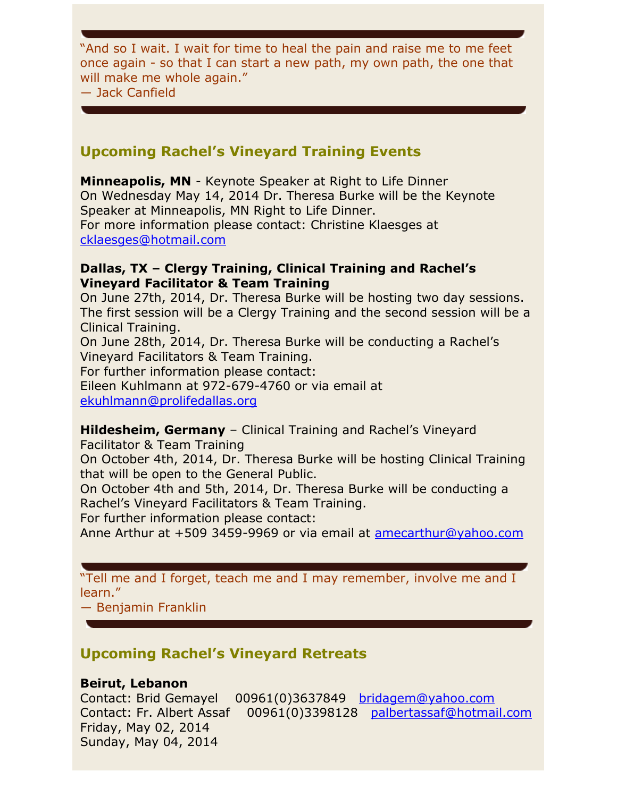"And so I wait. I wait for time to heal the pain and raise me to me feet once again - so that I can start a new path, my own path, the one that will make me whole again."

― Jack Canfield

# **Upcoming Rachel's Vineyard Training Events**

**Minneapolis, MN** - Keynote Speaker at Right to Life Dinner On Wednesday May 14, 2014 Dr. Theresa Burke will be the Keynote Speaker at Minneapolis, MN Right to Life Dinner. For more information please contact: Christine Klaesges at [cklaesges@hotmail.com](mailto:cklaesges@hotmail.com)

### **Dallas, TX – Clergy Training, Clinical Training and Rachel's Vineyard Facilitator & Team Training**

On June 27th, 2014, Dr. Theresa Burke will be hosting two day sessions. The first session will be a Clergy Training and the second session will be a Clinical Training.

On June 28th, 2014, Dr. Theresa Burke will be conducting a Rachel's Vineyard Facilitators & Team Training.

For further information please contact:

Eileen Kuhlmann at 972-679-4760 or via email at

[ekuhlmann@prolifedallas.org](mailto:ekuhlmann@prolifedallas.org)

#### **Hildesheim, Germany** – Clinical Training and Rachel's Vineyard Facilitator & Team Training

On October 4th, 2014, Dr. Theresa Burke will be hosting Clinical Training that will be open to the General Public.

On October 4th and 5th, 2014, Dr. Theresa Burke will be conducting a Rachel's Vineyard Facilitators & Team Training.

For further information please contact:

Anne Arthur at +509 3459-9969 or via email at [amecarthur@yahoo.com](mailto:amecarthur@yahoo.com) 

"Tell me and I forget, teach me and I may remember, involve me and I learn."

― Benjamin Franklin

# **Upcoming Rachel's Vineyard Retreats**

### **Beirut, Lebanon**

Contact: Brid Gemayel 00961(0)3637849 [bridagem@yahoo.com](mailto:bridagem@yahoo.com) Contact: Fr. Albert Assaf 00961(0)3398128 [palbertassaf@hotmail.com](mailto:palbertassaf@hotmail.com) Friday, May 02, 2014 Sunday, May 04, 2014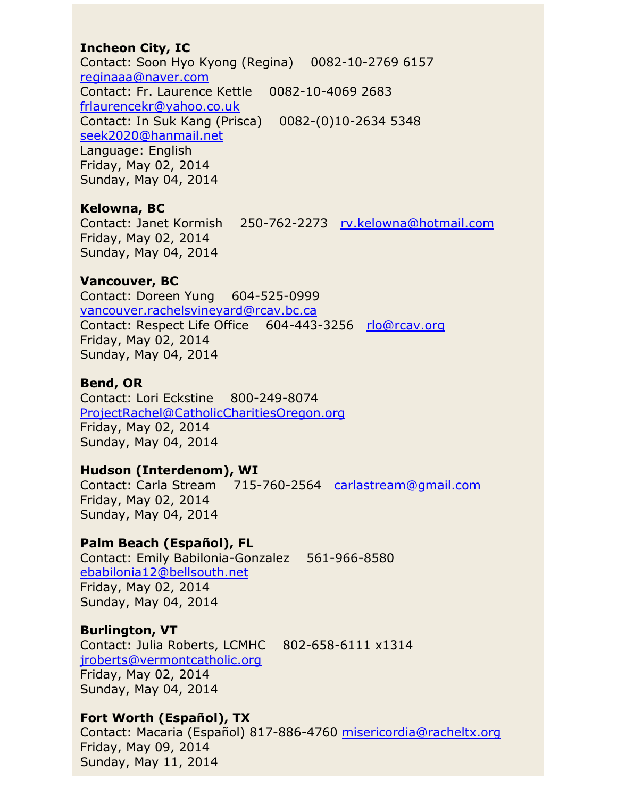### **Incheon City, IC**

Contact: Soon Hyo Kyong (Regina) 0082-10-2769 6157 [reginaaa@naver.com](mailto:reginaaa@naver.com) Contact: Fr. Laurence Kettle 0082-10-4069 2683 [frlaurencekr@yahoo.co.uk](mailto:frlaurencekr@yahoo.co.uk) Contact: In Suk Kang (Prisca) 0082-(0)10-2634 5348 [seek2020@hanmail.net](mailto:seek2020@hanmail.net) Language: English Friday, May 02, 2014 Sunday, May 04, 2014

### **Kelowna, BC**

Friday, May 02, 2014 Sunday, May 04, 2014

Contact: Janet Kormish 250-762-2273 [rv.kelowna@hotmail.com](mailto:rv.kelowna@hotmail.com)

### **Vancouver, BC**

Contact: Doreen Yung 604-525-0999 [vancouver.rachelsvineyard@rcav.bc.ca](mailto:vancouver.rachelsvineyard@rcav.bc.ca) Contact: Respect Life Office 604-443-3256 [rlo@rcav.org](mailto:rlo@rcav.org) Friday, May 02, 2014 Sunday, May 04, 2014

### **Bend, OR**

Contact: Lori Eckstine 800-249-8074 [ProjectRachel@CatholicCharitiesOregon.org](mailto:ProjectRachel@CatholicCharitiesOregon.org) Friday, May 02, 2014 Sunday, May 04, 2014

### **Hudson (Interdenom), WI**

Contact: Carla Stream 715-760-2564 [carlastream@gmail.com](mailto:carlastream@gmail.com) Friday, May 02, 2014 Sunday, May 04, 2014

## **Palm Beach (Español), FL**

Contact: Emily Babilonia-Gonzalez 561-966-8580 [ebabilonia12@bellsouth.net](mailto:ebabilonia12@bellsouth.net) Friday, May 02, 2014 Sunday, May 04, 2014

## **Burlington, VT**

Contact: Julia Roberts, LCMHC 802-658-6111 x1314 [jroberts@vermontcatholic.org](mailto:jroberts@vermontcatholic.org) Friday, May 02, 2014 Sunday, May 04, 2014

## **Fort Worth (Español), TX**

Contact: Macaria (Español) 817-886-4760 [misericordia@racheltx.org](mailto:misericordia@racheltx.org) Friday, May 09, 2014 Sunday, May 11, 2014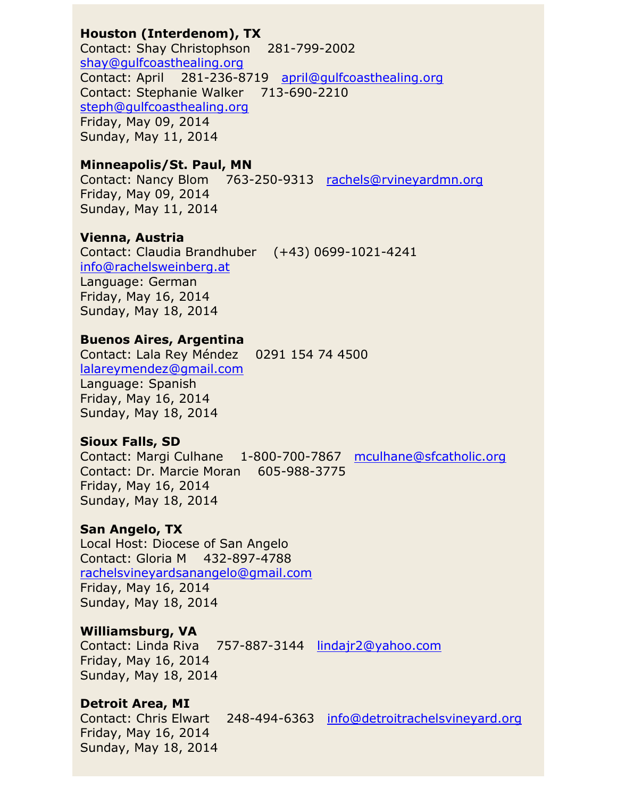## **Houston (Interdenom), TX**

Contact: Shay Christophson 281-799-2002 [shay@gulfcoasthealing.org](mailto:shay@gulfcoasthealing.org) Contact: April 281-236-8719 [april@gulfcoasthealing.org](mailto:april@gulfcoasthealing.org) Contact: Stephanie Walker 713-690-2210 [steph@gulfcoasthealing.org](mailto:steph@gulfcoasthealing.org) Friday, May 09, 2014 Sunday, May 11, 2014

#### **Minneapolis/St. Paul, MN**

Contact: Nancy Blom 763-250-9313 [rachels@rvineyardmn.org](mailto:rachels@rvineyardmn.org) Friday, May 09, 2014 Sunday, May 11, 2014

#### **Vienna, Austria**

Contact: Claudia Brandhuber (+43) 0699-1021-4241 [info@rachelsweinberg.at](mailto:info@rachelsweinberg.at) Language: German Friday, May 16, 2014 Sunday, May 18, 2014

### **Buenos Aires, Argentina**

Contact: Lala Rey Méndez 0291 154 74 4500 [lalareymendez@gmail.com](mailto:lalareymendez@gmail.com) Language: Spanish Friday, May 16, 2014 Sunday, May 18, 2014

### **Sioux Falls, SD**

Contact: Margi Culhane 1-800-700-7867 [mculhane@sfcatholic.org](mailto:mculhane@sfcatholic.org) Contact: Dr. Marcie Moran 605-988-3775 Friday, May 16, 2014 Sunday, May 18, 2014

## **San Angelo, TX**

Local Host: Diocese of San Angelo Contact: Gloria M 432-897-4788 [rachelsvineyardsanangelo@gmail.com](mailto:rachelsvineyardsanangelo@gmail.com) Friday, May 16, 2014 Sunday, May 18, 2014

## **Williamsburg, VA**

Contact: Linda Riva 757-887-3144 [lindajr2@yahoo.com](mailto:lindajr2@yahoo.com) Friday, May 16, 2014 Sunday, May 18, 2014

### **Detroit Area, MI**

Contact: Chris Elwart 248-494-6363 [info@detroitrachelsvineyard.org](mailto:info@detroitrachelsvineyard.org) Friday, May 16, 2014 Sunday, May 18, 2014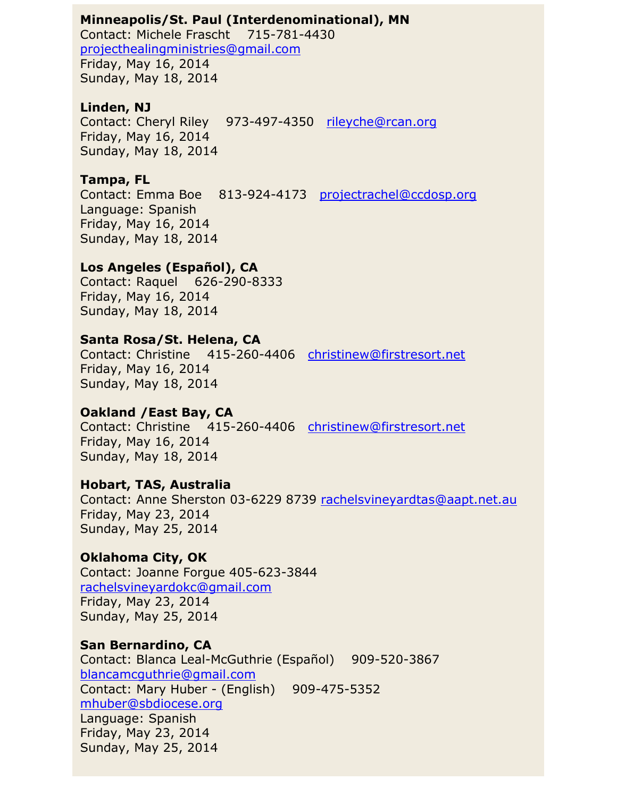#### **Minneapolis/St. Paul (Interdenominational), MN**

Contact: Michele Frascht 715-781-4430 [projecthealingministries@gmail.com](mailto:projecthealingministries@gmail.com) Friday, May 16, 2014 Sunday, May 18, 2014

### **Linden, NJ**

Contact: Cheryl Riley 973-497-4350 [rileyche@rcan.org](mailto:rileyche@rcan.org) Friday, May 16, 2014 Sunday, May 18, 2014

### **Tampa, FL**

Contact: Emma Boe 813-924-4173 [projectrachel@ccdosp.org](mailto:projectrachel@ccdosp.org) Language: Spanish Friday, May 16, 2014 Sunday, May 18, 2014

### **Los Angeles (Español), CA**

Contact: Raquel 626-290-8333 Friday, May 16, 2014 Sunday, May 18, 2014

### **Santa Rosa/St. Helena, CA**

Contact: Christine 415-260-4406 [christinew@firstresort.net](mailto:christinew@firstresort.net) Friday, May 16, 2014 Sunday, May 18, 2014

## **Oakland /East Bay, CA**

Contact: Christine 415-260-4406 [christinew@firstresort.net](mailto:christinew@firstresort.net) Friday, May 16, 2014 Sunday, May 18, 2014

### **Hobart, TAS, Australia**

Contact: Anne Sherston 03-6229 8739 [rachelsvineyardtas@aapt.net.au](mailto:rachelsvineyardtas@aapt.net.au) Friday, May 23, 2014 Sunday, May 25, 2014

## **Oklahoma City, OK**

Contact: Joanne Forgue 405-623-3844 [rachelsvineyardokc@gmail.com](mailto:rachelsvineyardokc@gmail.com) Friday, May 23, 2014 Sunday, May 25, 2014

## **San Bernardino, CA**

Contact: Blanca Leal-McGuthrie (Español) 909-520-3867 [blancamcguthrie@gmail.com](mailto:blancamcguthrie@gmail.com) Contact: Mary Huber - (English) 909-475-5352 [mhuber@sbdiocese.org](mailto:mhuber@sbdiocese.org) Language: Spanish Friday, May 23, 2014 Sunday, May 25, 2014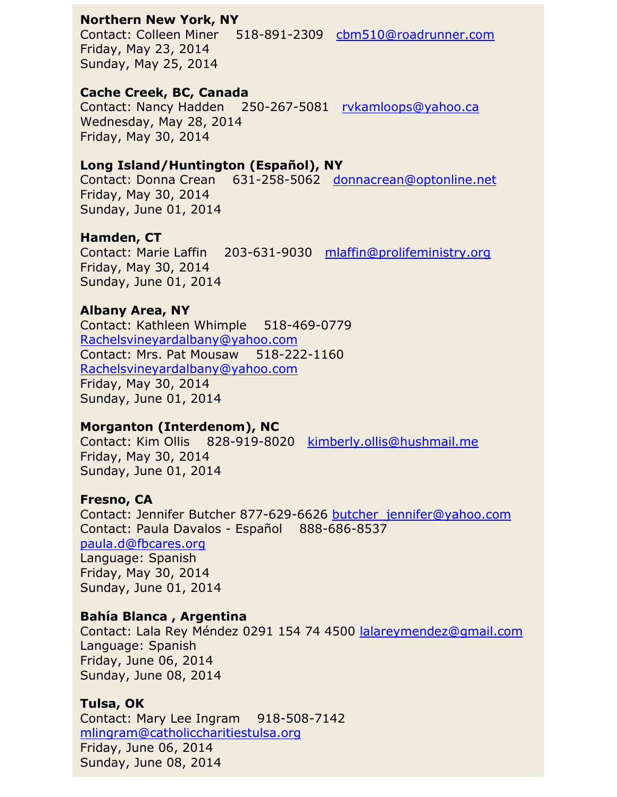### **Northern New York, NY**

Contact: Colleen Miner 518-891-2309 [cbm510@roadrunner.com](mailto:cbm510@roadrunner.com) Friday, May 23, 2014 Sunday, May 25, 2014

### **Cache Creek, BC, Canada**

Contact: Nancy Hadden 250-267-5081 [rvkamloops@yahoo.ca](mailto:rvkamloops@yahoo.ca) Wednesday, May 28, 2014 Friday, May 30, 2014

# **Long Island/Huntington (Español), NY**

Contact: Donna Crean 631-258-5062 [donnacrean@optonline.net](mailto:donnacrean@optonline.net) Friday, May 30, 2014 Sunday, June 01, 2014

# **Hamden, CT**

Contact: Marie Laffin 203-631-9030 [mlaffin@prolifeministry.org](mailto:mlaffin@prolifeministry.org) Friday, May 30, 2014 Sunday, June 01, 2014

# **Albany Area, NY**

Contact: Kathleen Whimple 518-469-0779 [Rachelsvineyardalbany@yahoo.com](mailto:Rachelsvineyardalbany@yahoo.com) Contact: Mrs. Pat Mousaw 518-222-1160 [Rachelsvineyardalbany@yahoo.com](mailto:Rachelsvineyardalbany@yahoo.com) Friday, May 30, 2014 Sunday, June 01, 2014

# **Morganton (Interdenom), NC**

Contact: Kim Ollis 828-919-8020 [kimberly.ollis@hushmail.me](mailto:kimberly.ollis@hushmail.me) Friday, May 30, 2014 Sunday, June 01, 2014

## **Fresno, CA**

Contact: Jennifer Butcher 877-629-6626 butcher jennifer@yahoo.com Contact: Paula Davalos - Español 888-686-8537 [paula.d@fbcares.org](mailto:paula.d@fbcares.org) Language: Spanish Friday, May 30, 2014 Sunday, June 01, 2014

## **Bahía Blanca , Argentina**

Contact: Lala Rey Méndez 0291 154 74 4500 [lalareymendez@gmail.com](mailto:lalareymendez@gmail.com) Language: Spanish Friday, June 06, 2014 Sunday, June 08, 2014

## **Tulsa, OK**

Contact: Mary Lee Ingram 918-508-7142 [mlingram@catholiccharitiestulsa.org](mailto:mlingram@catholiccharitiestulsa.org) Friday, June 06, 2014 Sunday, June 08, 2014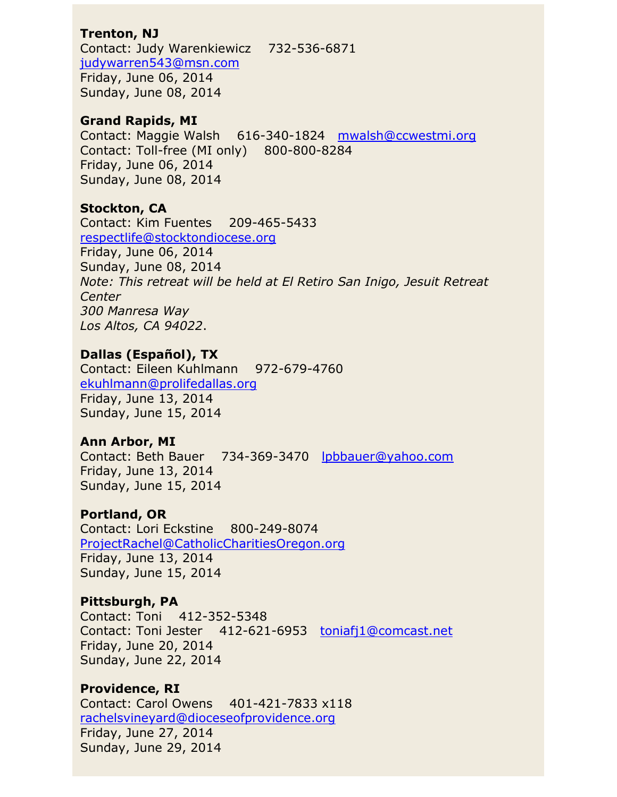## **Trenton, NJ**

Contact: Judy Warenkiewicz 732-536-6871 [judywarren543@msn.com](mailto:judywarren543@msn.com) Friday, June 06, 2014 Sunday, June 08, 2014

### **Grand Rapids, MI**

Contact: Maggie Walsh 616-340-1824 [mwalsh@ccwestmi.org](mailto:mwalsh@ccwestmi.org) Contact: Toll-free (MI only) 800-800-8284 Friday, June 06, 2014 Sunday, June 08, 2014

# **Stockton, CA**

Contact: Kim Fuentes 209-465-5433 [respectlife@stocktondiocese.org](mailto:respectlife@stocktondiocese.org) Friday, June 06, 2014 Sunday, June 08, 2014 *Note: This retreat will be held at El Retiro San Inigo, Jesuit Retreat Center 300 Manresa Way Los Altos, CA 94022*.

# **Dallas (Español), TX**

Contact: Eileen Kuhlmann 972-679-4760 [ekuhlmann@prolifedallas.org](mailto:ekuhlmann@prolifedallas.org) Friday, June 13, 2014 Sunday, June 15, 2014

## **Ann Arbor, MI**

Contact: Beth Bauer 734-369-3470 [lpbbauer@yahoo.com](mailto:lpbbauer@yahoo.com) Friday, June 13, 2014 Sunday, June 15, 2014

## **Portland, OR**

Contact: Lori Eckstine 800-249-8074 [ProjectRachel@CatholicCharitiesOregon.org](mailto:ProjectRachel@CatholicCharitiesOregon.org) Friday, June 13, 2014 Sunday, June 15, 2014

## **Pittsburgh, PA**

Contact: Toni 412-352-5348 Contact: Toni Jester 412-621-6953 [toniafj1@comcast.net](mailto:toniafj1@comcast.net) Friday, June 20, 2014 Sunday, June 22, 2014

# **Providence, RI**

Contact: Carol Owens 401-421-7833 x118 [rachelsvineyard@dioceseofprovidence.org](mailto:rachelsvineyard@dioceseofprovidence.org) Friday, June 27, 2014 Sunday, June 29, 2014